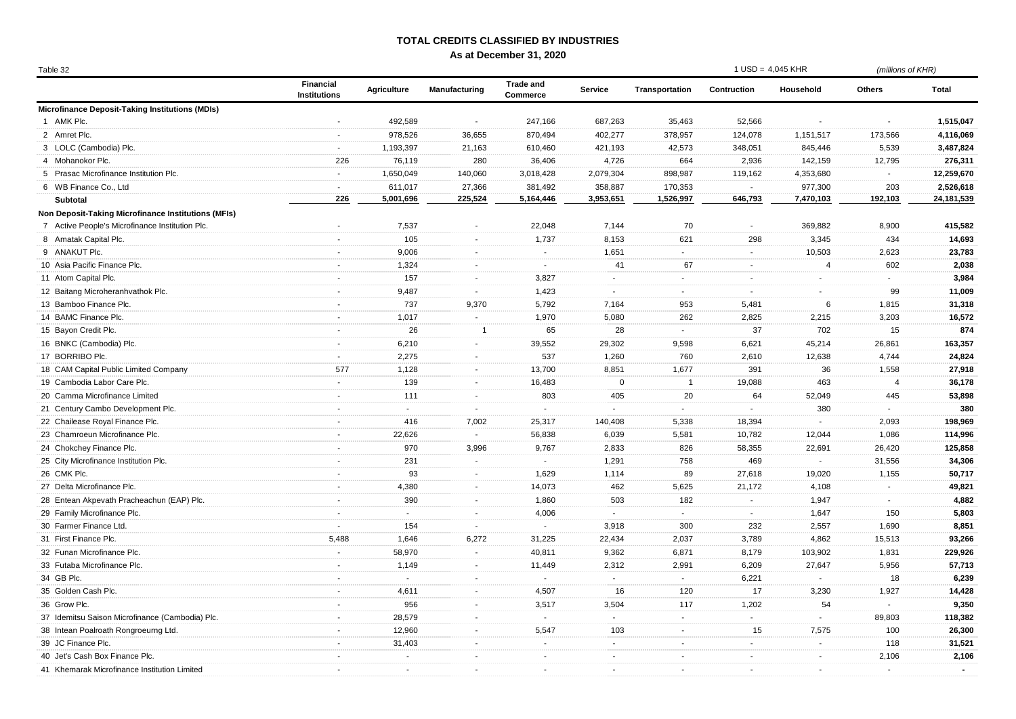## **TOTAL CREDITS CLASSIFIED BY INDUSTRIES**

**As at December 31, 2020**

| Table |  |
|-------|--|

| Table 32                                            |                                         |                          |                           |                              |                          |                | $1$ USD = 4,045 KHR      |                | (millions of KHR)       |              |
|-----------------------------------------------------|-----------------------------------------|--------------------------|---------------------------|------------------------------|--------------------------|----------------|--------------------------|----------------|-------------------------|--------------|
|                                                     | <b>Financial</b><br><b>Institutions</b> | <b>Agriculture</b>       | Manufacturing             | <b>Trade and</b><br>Commerce | Service                  | Transportation | Contruction              | Household      | <b>Others</b>           | <b>Total</b> |
| Microfinance Deposit-Taking Institutions (MDIs)     |                                         |                          |                           |                              |                          |                |                          |                |                         |              |
| 1 AMK Plc.                                          |                                         | 492,589                  | $\sim$                    | 247,166                      | 687,263                  | 35,463         | 52,566                   |                |                         | 1,515,047    |
| 2 Amret Plc.                                        | $\blacksquare$                          | 978,526                  | 36,655                    | 870,494                      | 402,277                  | 378,957        | 124,078                  | 1,151,517      | 173,566                 | 4,116,069    |
| 3 LOLC (Cambodia) Plc.                              | $\sim$                                  | 1,193,397                | 21,163                    | 610,460                      | 421,193                  | 42,573         | 348,051                  | 845,446        | 5,539                   | 3,487,824    |
| 4 Mohanokor Plc.                                    | 226                                     | 76,119                   | 280                       | 36,406                       | 4,726                    | 664            | 2,936                    | 142,159        | 12,795                  | 276,311      |
| 5 Prasac Microfinance Institution Plc.              | $\mathcal{L}_{\mathcal{A}}$             | 1,650,049                | 140,060                   | 3,018,428                    | 2,079,304                | 898,987        | 119,162                  | 4,353,680      | $\sim$                  | 12,259,670   |
| 6 WB Finance Co., Ltd                               | $\sim$                                  | 611,017                  | 27,366                    | 381,492                      | 358,887                  | 170,353        | $\sim$                   | 977,300        | 203                     | 2,526,618    |
| Subtotal                                            | 226                                     | 5,001,696                | 225,524                   | 5,164,446                    | 3,953,651                | 1,526,997      | 646,793                  | 7,470,103      | 192,103                 | 24,181,539   |
| Non Deposit-Taking Microfinance Institutions (MFIs) |                                         |                          |                           |                              |                          |                |                          |                |                         |              |
| 7 Active People's Microfinance Institution Plc.     | $\sim$                                  | 7,537                    | $\blacksquare$            | 22,048                       | 7,144                    | 70             | $\sim$                   | 369,882        | 8,900                   | 415,582      |
| 8 Amatak Capital Plc.                               | $\blacksquare$                          | 105                      | $\blacksquare$            | 1,737                        | 8,153                    | 621            | 298                      | 3,345          | 434                     | 14,693       |
| 9 ANAKUT Plc.                                       | $\sim$                                  | 9,006                    | $\mathbf{r}$              | $\sim$                       | 1,651                    | $\sim$         | $\sim$                   | 10,503         | 2,623                   | 23,783       |
| 10 Asia Pacific Finance Plc.                        | $\blacksquare$                          | 1,324                    | $\sim$                    | $\sim$                       | 41                       | 67             | $\sim$                   | 4              | 602                     | 2,038        |
| 11 Atom Capital Plc.                                | $\sim$                                  | 157                      | $\blacksquare$            | 3,827                        | $\sim$                   | $\sim$         | $\blacksquare$           | $\blacksquare$ | $\sim$                  | 3,984        |
| 12 Baitang Microheranhvathok Plc.                   | $\sim$                                  | 9,487                    | $\blacksquare$            | 1,423                        | $\sim$                   | $\sim$         | $\overline{\phantom{a}}$ | $\sim$         | 99                      | 11,009       |
| 13 Bamboo Finance Plc.                              | $\sim$                                  | 737                      | 9,370                     | 5,792                        | 7,164                    | 953            | 5,481                    | 6              | 1,815                   | 31,318       |
| 14 BAMC Finance Plc.                                | $\sim$                                  | 1,017                    | $\mathbb{Z}^{\mathbb{Z}}$ | 1,970                        | 5,080                    | 262            | 2,825                    | 2,215          | 3,203                   | 16,572       |
| 15 Bayon Credit Plc.                                | $\sim$                                  | 26                       | $\overline{1}$            | 65                           | 28                       | $\sim$         | 37                       | 702            | 15                      | 874          |
| 16 BNKC (Cambodia) Plc.                             | $\sim$                                  | 6,210                    | $\mathcal{L}$             | 39,552                       | 29,302                   | 9,598          | 6,621                    | 45,214         | 26,861                  | 163,357      |
| 17 BORRIBO Plc.                                     | $\sim$                                  | 2,275                    | $\mathcal{L}$             | 537                          | 1,260                    | 760            | 2,610                    | 12,638         | 4,744                   | 24,824       |
| 18 CAM Capital Public Limited Company               | 577                                     | 1,128                    | $\blacksquare$            | 13,700                       | 8,851                    | 1,677          | 391                      | 36             | 1,558                   | 27,918       |
| 19 Cambodia Labor Care Plc.                         | $\sim$                                  | 139                      | $\sim$                    | 16,483                       | $\mathbf 0$              | $\overline{1}$ | 19,088                   | 463            | $\overline{\mathbf{A}}$ | 36,178       |
| 20 Camma Microfinance Limited                       | $\sim$                                  | 111                      | $\sim$                    | 803                          | 405                      | 20             | 64                       | 52,049         | 445                     | 53,898       |
| 21 Century Cambo Development Plc.                   | $\sim$                                  | $\mathbb{Z}^+$           | $\sim$                    | $\sim$                       | $\blacksquare$           | $\sim$         | $\sim$                   | 380            | $\sim$                  | 380          |
| 22 Chailease Royal Finance Plc.                     | $\sim$                                  | 416                      | 7,002                     | 25,317                       | 140,408                  | 5,338          | 18,394                   | $\sim$         | 2,093                   | 198,969      |
| 23 Chamroeun Microfinance Plc.                      | $\sim$                                  | 22,626                   | $\sim$                    | 56,838                       | 6,039                    | 5,581          | 10,782                   | 12,044         | 1,086                   | 114,996      |
| 24 Chokchey Finance Plc.                            | $\mathbf{r}$                            | 970                      | 3,996                     | 9,767                        | 2,833                    | 826            | 58,355                   | 22,691         | 26,420                  | 125,858      |
| 25 City Microfinance Institution Plc.               | $\sim$                                  | 231                      | $\sim$                    | $\sim$                       | 1,291                    | 758            | 469                      | $\mathbf{r}$   | 31,556                  | 34,306       |
| 26 CMK Plc.                                         | $\sim$                                  | 93                       | $\blacksquare$            | 1,629                        | 1,114                    | 89             | 27,618                   | 19,020         | 1,155                   | 50,717       |
| 27 Delta Microfinance Plc.                          | $\sim$                                  | 4,380                    | $\blacksquare$            | 14,073                       | 462                      | 5,625          | 21,172                   | 4,108          | $\sim$                  | 49,821       |
| 28 Entean Akpevath Pracheachun (EAP) Plc.           | $\sim$                                  | 390                      | $\sim$                    | 1,860                        | 503                      | 182            | $\sim$                   | 1,947          | $\sim$                  | 4,882        |
| 29 Family Microfinance Plc.                         | $\sim$                                  | $\sim$                   | $\blacksquare$            | 4,006                        | $\sim$                   | $\sim$         | $\sim$                   | 1,647          | 150                     | 5,803        |
| 30 Farmer Finance Ltd.                              | $\sim$                                  | 154                      | $\sim$                    | $\mathcal{L}$                | 3,918                    | 300            | 232                      | 2,557          | 1,690                   | 8,851        |
| 31 First Finance Plc.                               | 5,488                                   | 1,646                    | 6,272                     | 31,225                       | 22,434                   | 2,037          | 3,789                    | 4,862          | 15,513                  | 93,266       |
| 32 Funan Microfinance Plc.                          | $\mathbf{r}$                            | 58,970                   | $\sim$                    | 40,811                       | 9,362                    | 6,871          | 8,179                    | 103,902        | 1,831                   | 229,926      |
| 33 Futaba Microfinance Plc.                         | $\sim$                                  | 1,149                    | $\sim$                    | 11,449                       | 2,312                    | 2,991          | 6,209                    | 27,647         | 5,956                   | 57,713       |
| 34 GB Plc.                                          | $\sim$                                  | $\sim$                   | $\blacksquare$            | $\sim$                       | $\sim$                   | $\sim$         | 6,221                    | $\sim$         | 18                      | 6,239        |
| 35 Golden Cash Plc.                                 | $\sim$                                  | 4,611                    | $\sim$                    | 4,507                        | 16                       | 120            | 17                       | 3,230          | 1,927                   | 14,428       |
| 36 Grow Plc.                                        | $\sim$                                  | 956                      | $\sim$                    | 3,517                        | 3,504                    | 117            | 1,202                    | 54             | $\sim$                  | 9,350        |
| 37 Idemitsu Saison Microfinance (Cambodia) Plc.     | $\blacksquare$                          | 28,579                   | $\blacksquare$            | $\sim$                       | $\sim$                   | $\blacksquare$ | $\sim$                   | $\blacksquare$ | 89,803                  | 118,382      |
| 38 Intean Poalroath Rongroeurng Ltd.                | $\sim$                                  | 12,960                   | $\blacksquare$            | 5,547                        | 103                      | $\sim$         | 15                       | 7,575          | 100                     | 26,300       |
| 39 JC Finance Plc.                                  | $\sim$                                  | 31,403                   | $\blacksquare$            | $\sim$                       | $\sim$                   | $\blacksquare$ | $\sim$                   | $\sim$         | 118                     | 31,521       |
| 40 Jet's Cash Box Finance Plc.                      | $\sim$                                  | $\overline{\phantom{a}}$ | $\sim$                    | $\sim$                       | $\overline{\phantom{a}}$ | $\sim$         |                          | $\sim$         | 2,106                   | 2,106        |
| 41 Khemarak Microfinance Institution Limited        | $\sim$                                  | $\sim$                   | $\sim$                    | $\sim$                       | $\overline{\phantom{a}}$ | $\sim$         | $\sim$                   | $\sim$         | $\sim$                  | $\sim$       |